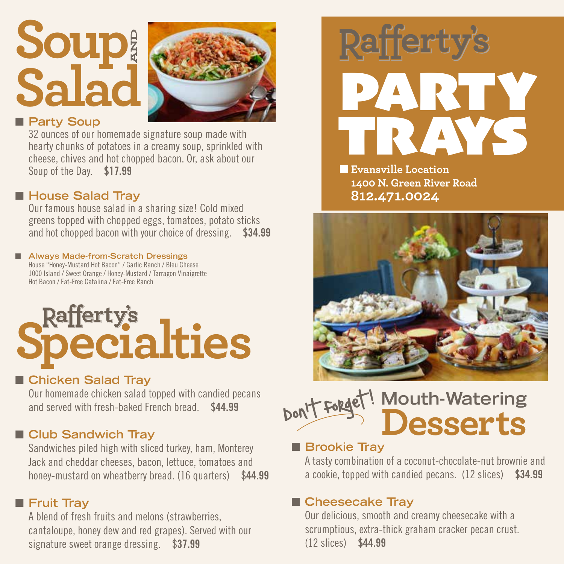## **Soup Salad AND**



#### **n** Party Soup

32 ounces of our homemade signature soup made with hearty chunks of potatoes in a creamy soup, sprinkled with cheese, chives and hot chopped bacon. Or, ask about our Soup of the Day. \$17.99

#### ■ House Salad Tray

Our famous house salad in a sharing size! Cold mixed greens topped with chopped eggs, tomatoes, potato sticks and hot chopped bacon with your choice of dressing. \$34.99

#### ■ Always Made-from-Scratch Dressings House "Honey-Mustard Hot Bacon" / Garlic Ranch / Bleu Cheese

1000 Island / Sweet Orange / Honey-Mustard / Tarragon Vinaigrette Hot Bacon / Fat-Free Catalina / Fat-Free Ranch

# **Rafferty's**<br>**Pecialties**

#### ■ Chicken Salad Tray

Our homemade chicken salad topped with candied pecans and served with fresh-baked French bread. \$44.99

#### **n** Club Sandwich Tray

Sandwiches piled high with sliced turkey, ham, Monterey Jack and cheddar cheeses, bacon, lettuce, tomatoes and honey-mustard on wheatberry bread. (16 quarters) \$44.99

#### **n** Fruit Tray

A blend of fresh fruits and melons (strawberries, cantaloupe, honey dew and red grapes). Served with our signature sweet orange dressing. \$37.99



**nEvansville Location 1400 N. Green River Road 812.471.0024**



#### **Mouth-Watering Desserts** Don't forget!  $\overline{\phantom{a}}$

#### **n** Brookie Tray

A tasty combination of a coconut-chocolate-nut brownie and a cookie, topped with candied pecans. (12 slices) \$34.99

#### ■ Cheesecake Tray

Our delicious, smooth and creamy cheesecake with a scrumptious, extra-thick graham cracker pecan crust. (12 slices) \$44.99